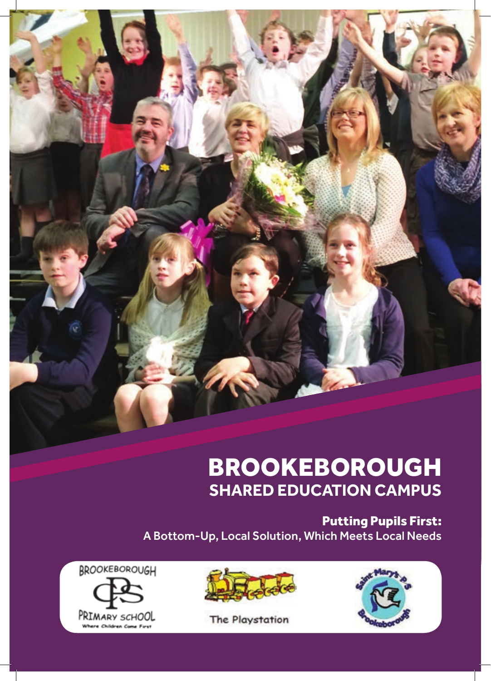

# BROOKEBOROUGH **SHARED EDUCATION CAMPUS**

Putting Pupils First: A Bottom-Up, Local Solution, Which Meets Local Needs







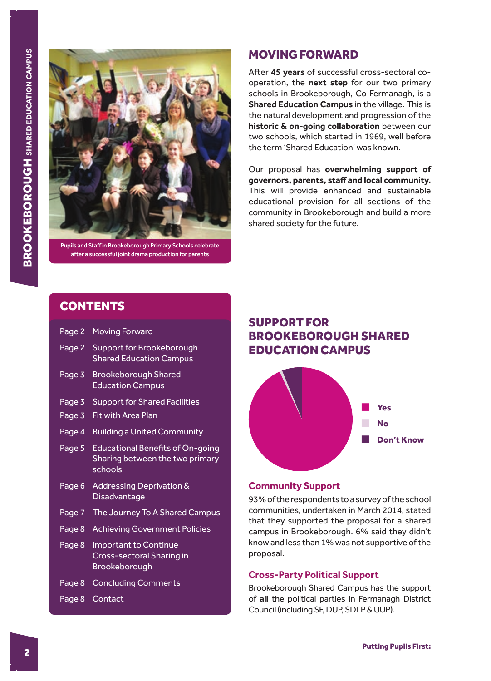

Pupils and Staff in Brookeborough Primary Schools celebrate after a successful joint drama production for parents

## MOVING FORWARD

After **45 years** of successful cross-sectoral cooperation, the **next step** for our two primary schools in Brookeborough, Co Fermanagh, is a **Shared Education Campus** in the village. This is the natural development and progression of the **historic & on-going collaboration** between our two schools, which started in 1969, well before the term 'Shared Education' was known.

Our proposal has **overwhelming support of governors, parents, staff and local community.** This will provide enhanced and sustainable educational provision for all sections of the community in Brookeborough and build a more shared society for the future.

## **CONTENTS**

| Page 2 | <b>Moving Forward</b>                                                                 |
|--------|---------------------------------------------------------------------------------------|
| Page 2 | Support for Brookeborough<br><b>Shared Education Campus</b>                           |
| Page 3 | <b>Brookeborough Shared</b><br><b>Education Campus</b>                                |
| Page 3 | <b>Support for Shared Facilities</b>                                                  |
| Page 3 | <b>Fit with Area Plan</b>                                                             |
| Page 4 | <b>Building a United Community</b>                                                    |
| Page 5 | <b>Educational Benefits of On-going</b><br>Sharing between the two primary<br>schools |
| Page 6 | Addressing Deprivation &<br>Disadvantage                                              |
| Page 7 | The Journey To A Shared Campus                                                        |
| Page 8 | <b>Achieving Government Policies</b>                                                  |
| Page 8 | <b>Important to Continue</b><br>Cross-sectoral Sharing in<br>Brookeborough            |
| Page 8 | <b>Concluding Comments</b>                                                            |
| Page 8 | Contact                                                                               |

## SUPPORT FOR BROOKEBOROUGH SHARED EDUCATION CAMPUS



## **Community Support**

93% of the respondents to a survey of the school communities, undertaken in March 2014, stated that they supported the proposal for a shared campus in Brookeborough. 6% said they didn't know and less than 1% was not supportive of the proposal.

#### **Cross-Party Political Support**

Brookeborough Shared Campus has the support of **all** the political parties in Fermanagh District Council (including SF, DUP, SDLP & UUP).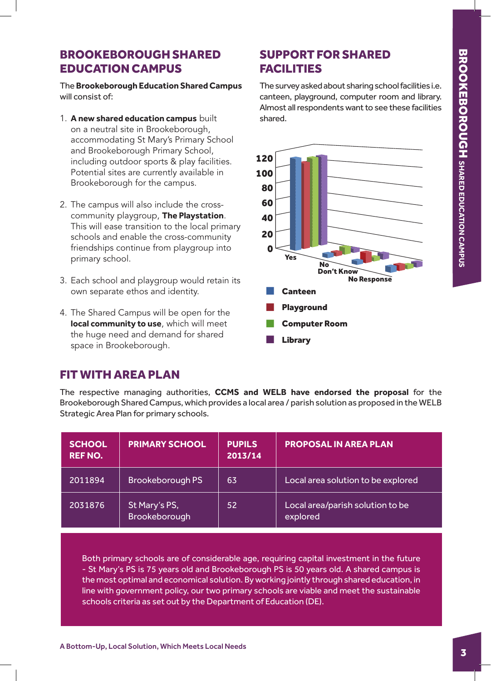# BROOKEBOROUGH SHARED EDUCATION CAMPUS

The **Brookeborough Education Shared Campus** will consist of:

- 1. **A new shared education campus** built on a neutral site in Brookeborough, accommodating St Mary's Primary School and Brookeborough Primary School, including outdoor sports & play facilities. Potential sites are currently available in Brookeborough for the campus.
- 2. The campus will also include the crosscommunity playgroup, **The Playstation**. This will ease transition to the local primary schools and enable the cross-community friendships continue from playgroup into primary school.
- 3. Each school and playgroup would retain its own separate ethos and identity.
- 4. The Shared Campus will be open for the **local community to use**, which will meet the huge need and demand for shared space in Brookeborough.

# SUPPORT FOR SHARED FACILITIES

The survey asked about sharing school facilities i.e. canteen, playground, computer room and library. Almost all respondents want to see these facilities shared.



# FIT WITH AREA PLAN

The respective managing authorities, **CCMS and WELB have endorsed the proposal** for the Brookeborough Shared Campus, which provides a local area / parish solution as proposed in the WELB Strategic Area Plan for primary schools.

| <b>SCHOOL</b><br><b>REF NO.</b> | <b>PRIMARY SCHOOL</b>          | <b>PUPILS</b><br>2013/14 | <b>PROPOSAL IN AREA PLAN</b>                 |
|---------------------------------|--------------------------------|--------------------------|----------------------------------------------|
| 2011894                         | <b>Brookeborough PS</b>        | 63                       | Local area solution to be explored           |
| 2031876                         | St Mary's PS,<br>Brookeborough | 52                       | Local area/parish solution to be<br>explored |

Both primary schools are of considerable age, requiring capital investment in the future - St Mary's PS is 75 years old and Brookeborough PS is 50 years old. A shared campus is the most optimal and economical solution. By working jointly through shared education, in line with government policy, our two primary schools are viable and meet the sustainable schools criteria as set out by the Department of Education (DE).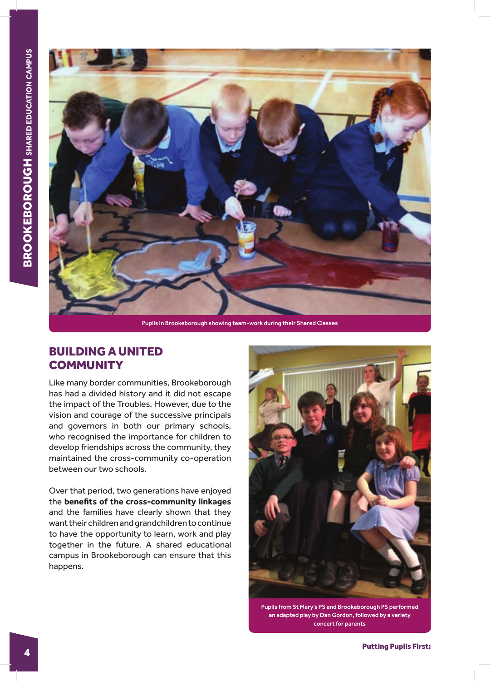

Pupils in Brookeborough showing team-work during their Shared Classes

# BUILDING A UNITED **COMMUNITY**

Like many border communities, Brookeborough has had a divided history and it did not escape the impact of the Troubles. However, due to the vision and courage of the successive principals and governors in both our primary schools, who recognised the importance for children to develop friendships across the community, they maintained the cross-community co-operation between our two schools.

Over that period, two generations have enjoyed the **benefits of the cross-community linkages** and the families have clearly shown that they want their children and grandchildren to continue to have the opportunity to learn, work and play together in the future. A shared educational campus in Brookeborough can ensure that this happens.



Pupils from St Mary's PS and Brookeborough PS performed an adapted play by Dan Gordon, followed by a variety concert for parents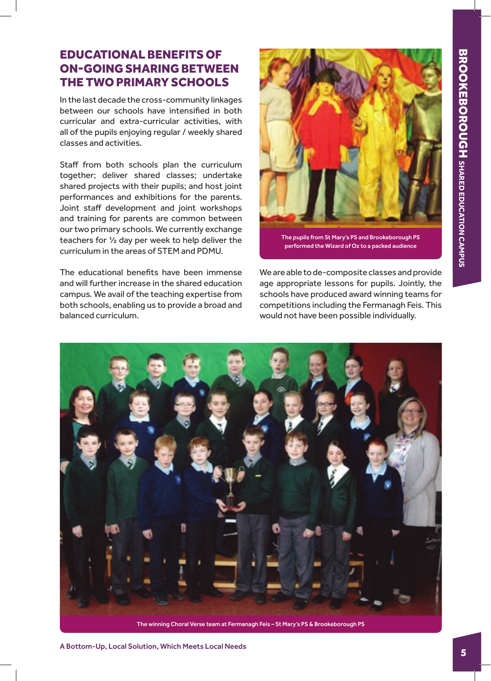## EDUCATIONAL BENEFITS OF ON-GOING SHARING BETWEEN THE TWO PRIMARY SCHOOLS

In the last decade the cross-community linkages between our schools have intensified in both curricular and extra-curricular activities, with all of the pupils enjoying regular / weekly shared classes and activities.

Staff from both schools plan the curriculum together; deliver shared classes; undertake shared projects with their pupils; and host joint performances and exhibitions for the parents. Joint staff development and joint workshops and training for parents are common between our two primary schools. We currently exchange teachers for ½ day per week to help deliver the curriculum in the areas of STEM and PDMU.

The educational benefits have been immense and will further increase in the shared education campus. We avail of the teaching expertise from both schools, enabling us to provide a broad and balanced curriculum.



The pupils from St Mary's PS and Brookeborough PS performed the Wizard of Oz to a packed audience

We are able to de-composite classes and provide age appropriate lessons for pupils. Jointly, the schools have produced award winning teams for competitions including the Fermanagh Feis. This would not have been possible individually.



The winning Choral Verse team at Fermanagh Feis – St Mary's PS & Brookeborough PS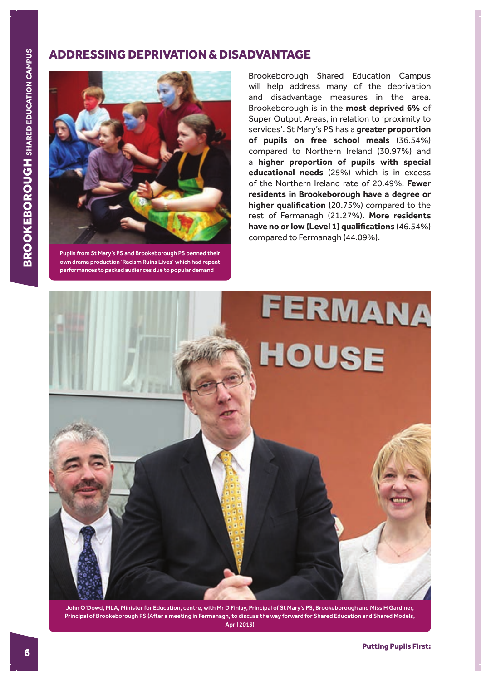## ADDRESSING DEPRIVATION & DISADVANTAGE



Pupils from St Mary's PS and Brookeborough PS penned their own drama production 'Racism Ruins Lives' which had repeat performances to packed audiences due to popular demand

Brookeborough Shared Education Campus will help address many of the deprivation and disadvantage measures in the area. Brookeborough is in the **most deprived 6%** of Super Output Areas, in relation to 'proximity to services'. St Mary's PS has a **greater proportion of pupils on free school meals** (36.54%) compared to Northern Ireland (30.97%) and a **higher proportion of pupils with special educational needs** (25%) which is in excess of the Northern Ireland rate of 20.49%. **Fewer residents in Brookeborough have a degree or higher qualification** (20.75%) compared to the rest of Fermanagh (21.27%). **More residents have no or low (Level 1) qualifications** (46.54%) compared to Fermanagh (44.09%).



John O'Dowd, MLA, Minister for Education, centre, with Mr D Finlay, Principal of St Mary's PS, Brookeborough and Miss H Gardiner, Principal of Brookeborough PS (After a meeting in Fermanagh, to discuss the way forward for Shared Education and Shared Models, April 2013)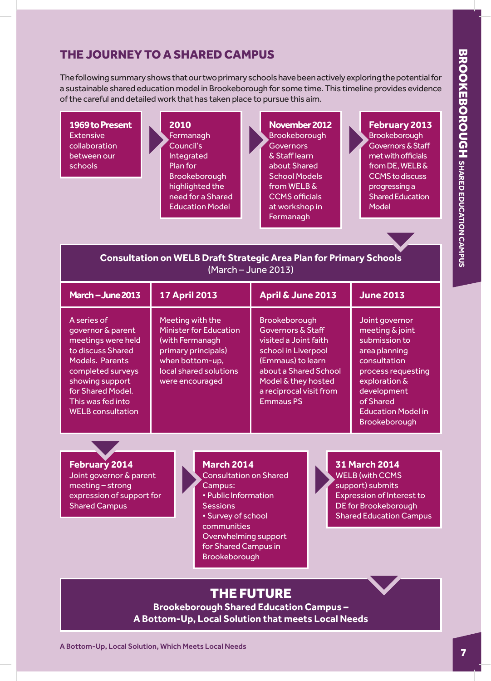## THE JOURNEY TO A SHARED CAMPUS

The following summary shows that our two primary schools have been actively exploring the potential for a sustainable shared education model in Brookeborough for some time. This timeline provides evidence of the careful and detailed work that has taken place to pursue this aim.

**1969 to Present Extensive** collaboration between our schools

**2010 Fermanagh** Council's Integrated Plan for Brookeborough highlighted the need for a Shared Education Model

**November 2012 Brookeborough Governors** & Staff learn about Shared School Models from WELB & CCMS officials at workshop in **Fermanagh** 

**February 2013 Brookeborough** Governors & Staff met with officials from DE, WELB & CCMS to discuss progressing a Shared Education Model

## **Consultation on WELB Draft Strategic Area Plan for Primary Schools** (March – June 2013)

| March - June 2013                                                                                                                                                                                            | <b>17 April 2013</b>                                                                                                                                        | April & June 2013                                                                                                                                                                                                 | <b>June 2013</b>                                                                                                                                                                                            |
|--------------------------------------------------------------------------------------------------------------------------------------------------------------------------------------------------------------|-------------------------------------------------------------------------------------------------------------------------------------------------------------|-------------------------------------------------------------------------------------------------------------------------------------------------------------------------------------------------------------------|-------------------------------------------------------------------------------------------------------------------------------------------------------------------------------------------------------------|
| A series of<br>governor & parent<br>meetings were held<br>to discuss Shared<br>Models. Parents<br>completed surveys<br>showing support<br>for Shared Model.<br>This was fed into<br><b>WELB</b> consultation | Meeting with the<br><b>Minister for Education</b><br>(with Fermanagh<br>primary principals)<br>when bottom-up,<br>local shared solutions<br>were encouraged | Brookeborough<br><b>Governors &amp; Staff</b><br>visited a Joint faith<br>school in Liverpool<br>(Emmaus) to learn<br>about a Shared School<br>Model & they hosted<br>a reciprocal visit from<br><b>Emmaus PS</b> | Joint governor<br>meeting & joint<br>submission to<br>area planning<br>consultation<br>process requesting<br>exploration &<br>development<br>of Shared<br><b>Education Model in</b><br><b>Brookeborough</b> |

**February 2014** Joint governor & parent meeting – strong expression of support for Shared Campus

#### **March 2014**

Consultation on Shared Campus: • Public Information Sessions • Survey of school communities Overwhelming support for Shared Campus in Brookeborough

# **31 March 2014**

WELB (with CCMS support) submits Expression of Interest to DE for Brookeborough Shared Education Campus

# THE FUTURE

**Brookeborough Shared Education Campus – A Bottom-Up, Local Solution that meets Local Needs**